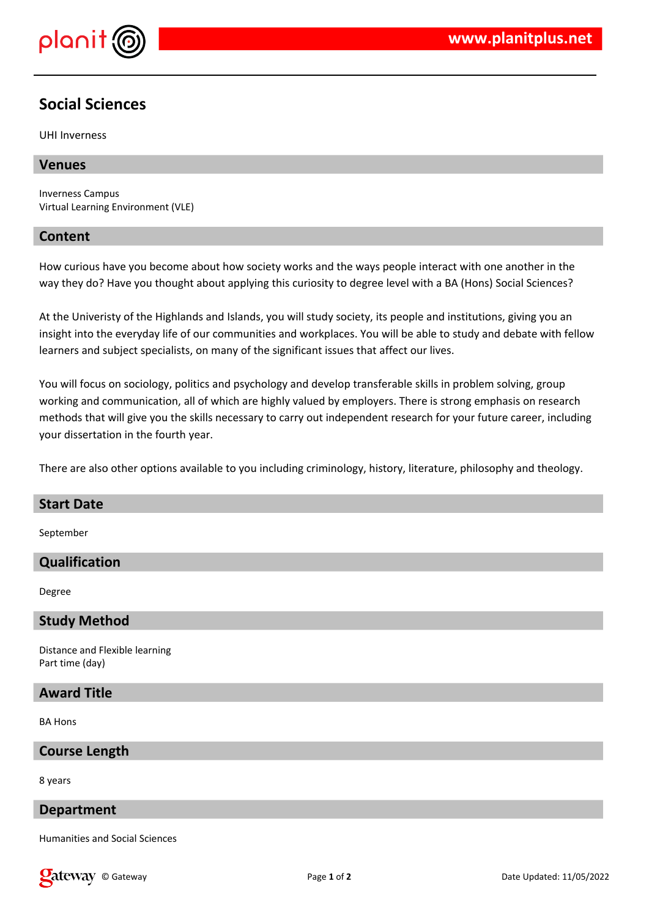

# **Social Sciences**

UHI Inverness

## **Venues**

Inverness Campus Virtual Learning Environment (VLE)

### **Content**

How curious have you become about how society works and the ways people interact with one another in the way they do? Have you thought about applying this curiosity to degree level with a BA (Hons) Social Sciences?

At the Univeristy of the Highlands and Islands, you will study society, its people and institutions, giving you an insight into the everyday life of our communities and workplaces. You will be able to study and debate with fellow learners and subject specialists, on many of the significant issues that affect our lives.

You will focus on sociology, politics and psychology and develop transferable skills in problem solving, group working and communication, all of which are highly valued by employers. There is strong emphasis on research methods that will give you the skills necessary to carry out independent research for your future career, including your dissertation in the fourth year.

There are also other options available to you including criminology, history, literature, philosophy and theology.

# **Start Date**

September

# **Qualification**

Degree

# **Study Method**

Distance and Flexible learning Part time (day)

# **Award Title**

BA Hons

#### **Course Length**

8 years

#### **Department**

Humanities and Social Sciences

**Calcistary** © Gateway **Page 1** of 2 Date Updated: 11/05/2022